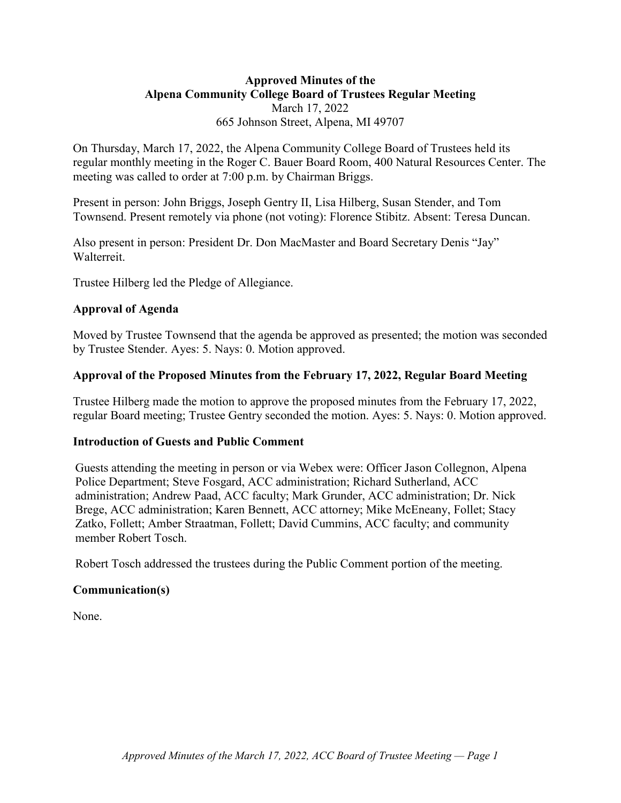# **Approved Minutes of the Alpena Community College Board of Trustees Regular Meeting** March 17, 2022 665 Johnson Street, Alpena, MI 49707

On Thursday, March 17, 2022, the Alpena Community College Board of Trustees held its regular monthly meeting in the Roger C. Bauer Board Room, 400 Natural Resources Center. The meeting was called to order at 7:00 p.m. by Chairman Briggs.

Present in person: John Briggs, Joseph Gentry II, Lisa Hilberg, Susan Stender, and Tom Townsend. Present remotely via phone (not voting): Florence Stibitz. Absent: Teresa Duncan.

Also present in person: President Dr. Don MacMaster and Board Secretary Denis "Jay" Walterreit.

Trustee Hilberg led the Pledge of Allegiance.

# **Approval of Agenda**

Moved by Trustee Townsend that the agenda be approved as presented; the motion was seconded by Trustee Stender. Ayes: 5. Nays: 0. Motion approved.

## **Approval of the Proposed Minutes from the February 17, 2022, Regular Board Meeting**

Trustee Hilberg made the motion to approve the proposed minutes from the February 17, 2022, regular Board meeting; Trustee Gentry seconded the motion. Ayes: 5. Nays: 0. Motion approved.

#### **Introduction of Guests and Public Comment**

Guests attending the meeting in person or via Webex were: Officer Jason Collegnon, Alpena Police Department; Steve Fosgard, ACC administration; Richard Sutherland, ACC administration; Andrew Paad, ACC faculty; Mark Grunder, ACC administration; Dr. Nick Brege, ACC administration; Karen Bennett, ACC attorney; Mike McEneany, Follet; Stacy Zatko, Follett; Amber Straatman, Follett; David Cummins, ACC faculty; and community member Robert Tosch.

Robert Tosch addressed the trustees during the Public Comment portion of the meeting.

#### **Communication(s)**

None.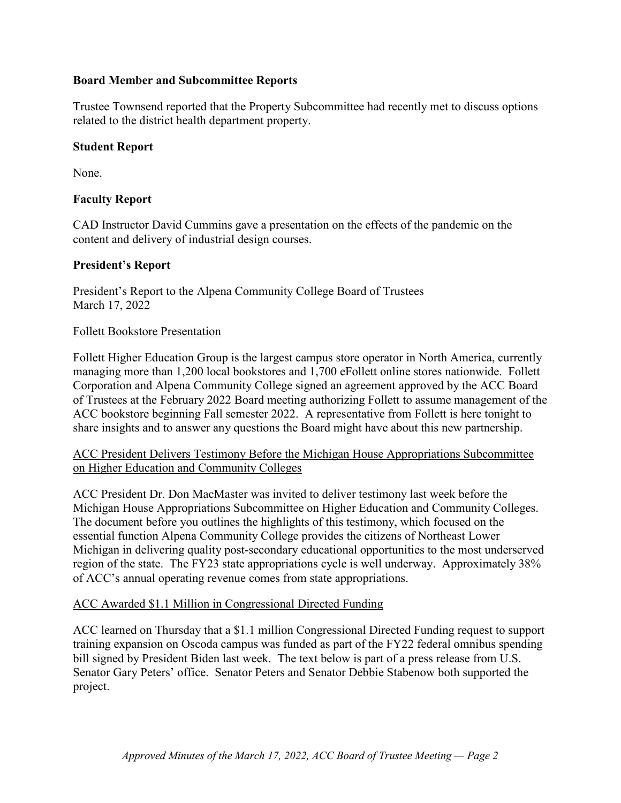# **Board Member and Subcommittee Reports**

Trustee Townsend reported that the Property Subcommittee had recently met to discuss options related to the district health department property.

#### **Student Report**

None.

## **Faculty Report**

CAD Instructor David Cummins gave a presentation on the effects of the pandemic on the content and delivery of industrial design courses.

## **President's Report**

President's Report to the Alpena Community College Board of Trustees March 17, 2022

## Follett Bookstore Presentation

Follett Higher Education Group is the largest campus store operator in North America, currently managing more than 1,200 local bookstores and 1,700 eFollett online stores nationwide. Follett Corporation and Alpena Community College signed an agreement approved by the ACC Board of Trustees at the February 2022 Board meeting authorizing Follett to assume management of the ACC bookstore beginning Fall semester 2022. A representative from Follett is here tonight to share insights and to answer any questions the Board might have about this new partnership.

## ACC President Delivers Testimony Before the Michigan House Appropriations Subcommittee on Higher Education and Community Colleges

ACC President Dr. Don MacMaster was invited to deliver testimony last week before the Michigan House Appropriations Subcommittee on Higher Education and Community Colleges. The document before you outlines the highlights of this testimony, which focused on the essential function Alpena Community College provides the citizens of Northeast Lower Michigan in delivering quality post-secondary educational opportunities to the most underserved region of the state. The FY23 state appropriations cycle is well underway. Approximately 38% of ACC's annual operating revenue comes from state appropriations.

#### ACC Awarded \$1.1 Million in Congressional Directed Funding

ACC learned on Thursday that a \$1.1 million Congressional Directed Funding request to support training expansion on Oscoda campus was funded as part of the FY22 federal omnibus spending bill signed by President Biden last week. The text below is part of a press release from U.S. Senator Gary Peters' office. Senator Peters and Senator Debbie Stabenow both supported the project.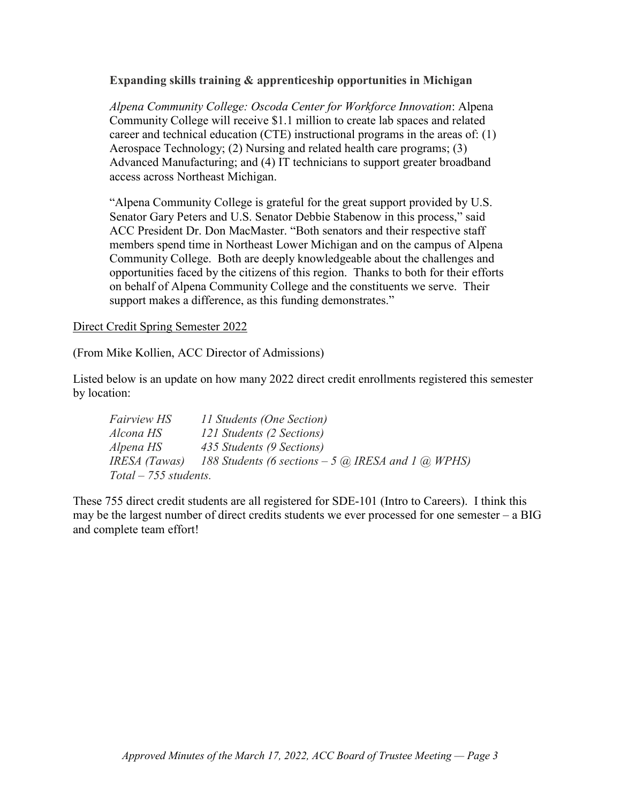## **Expanding skills training & apprenticeship opportunities in Michigan**

*Alpena Community College: Oscoda Center for Workforce Innovation*: Alpena Community College will receive \$1.1 million to create lab spaces and related career and technical education (CTE) instructional programs in the areas of: (1) Aerospace Technology; (2) Nursing and related health care programs; (3) Advanced Manufacturing; and (4) IT technicians to support greater broadband access across Northeast Michigan.

"Alpena Community College is grateful for the great support provided by U.S. Senator Gary Peters and U.S. Senator Debbie Stabenow in this process," said ACC President Dr. Don MacMaster. "Both senators and their respective staff members spend time in Northeast Lower Michigan and on the campus of Alpena Community College. Both are deeply knowledgeable about the challenges and opportunities faced by the citizens of this region. Thanks to both for their efforts on behalf of Alpena Community College and the constituents we serve. Their support makes a difference, as this funding demonstrates."

#### Direct Credit Spring Semester 2022

(From Mike Kollien, ACC Director of Admissions)

Listed below is an update on how many 2022 direct credit enrollments registered this semester by location:

| <i>Fairview HS</i>      | 11 Students (One Section)                             |
|-------------------------|-------------------------------------------------------|
| Alcona HS               | 121 Students (2 Sections)                             |
| Alpena HS               | 435 Students (9 Sections)                             |
| IRESA (Tawas)           | 188 Students (6 sections $-5$ @, IRESA and 1 @, WPHS) |
| $Total - 755$ students. |                                                       |

These 755 direct credit students are all registered for SDE-101 (Intro to Careers). I think this may be the largest number of direct credits students we ever processed for one semester – a BIG and complete team effort!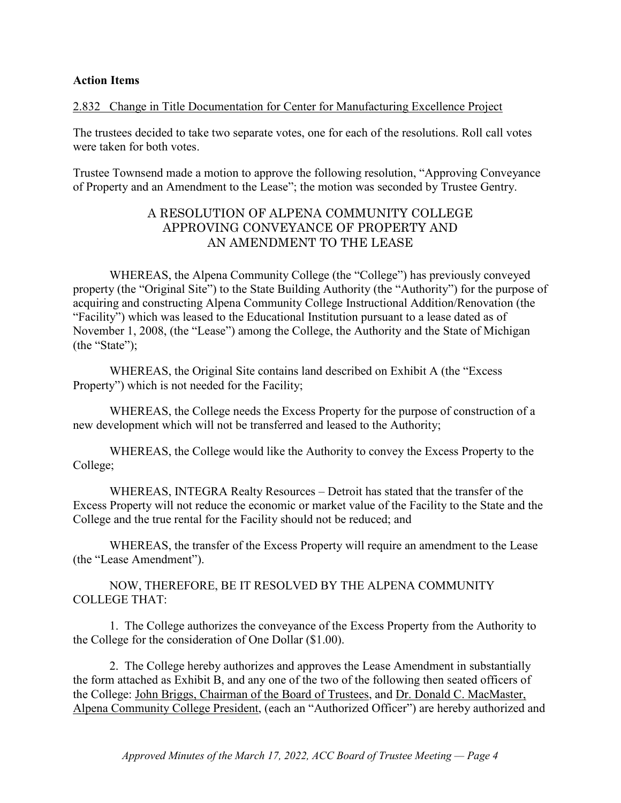#### **Action Items**

## 2.832 Change in Title Documentation for Center for Manufacturing Excellence Project

The trustees decided to take two separate votes, one for each of the resolutions. Roll call votes were taken for both votes.

Trustee Townsend made a motion to approve the following resolution, "Approving Conveyance of Property and an Amendment to the Lease"; the motion was seconded by Trustee Gentry.

# A RESOLUTION OF ALPENA COMMUNITY COLLEGE APPROVING CONVEYANCE OF PROPERTY AND AN AMENDMENT TO THE LEASE

WHEREAS, the Alpena Community College (the "College") has previously conveyed property (the "Original Site") to the State Building Authority (the "Authority") for the purpose of acquiring and constructing Alpena Community College Instructional Addition/Renovation (the "Facility") which was leased to the Educational Institution pursuant to a lease dated as of November 1, 2008, (the "Lease") among the College, the Authority and the State of Michigan (the "State");

WHEREAS, the Original Site contains land described on Exhibit A (the "Excess Property") which is not needed for the Facility;

WHEREAS, the College needs the Excess Property for the purpose of construction of a new development which will not be transferred and leased to the Authority;

WHEREAS, the College would like the Authority to convey the Excess Property to the College;

WHEREAS, INTEGRA Realty Resources – Detroit has stated that the transfer of the Excess Property will not reduce the economic or market value of the Facility to the State and the College and the true rental for the Facility should not be reduced; and

WHEREAS, the transfer of the Excess Property will require an amendment to the Lease (the "Lease Amendment").

NOW, THEREFORE, BE IT RESOLVED BY THE ALPENA COMMUNITY COLLEGE THAT:

1. The College authorizes the conveyance of the Excess Property from the Authority to the College for the consideration of One Dollar (\$1.00).

2. The College hereby authorizes and approves the Lease Amendment in substantially the form attached as Exhibit B, and any one of the two of the following then seated officers of the College: John Briggs, Chairman of the Board of Trustees, and Dr. Donald C. MacMaster, Alpena Community College President, (each an "Authorized Officer") are hereby authorized and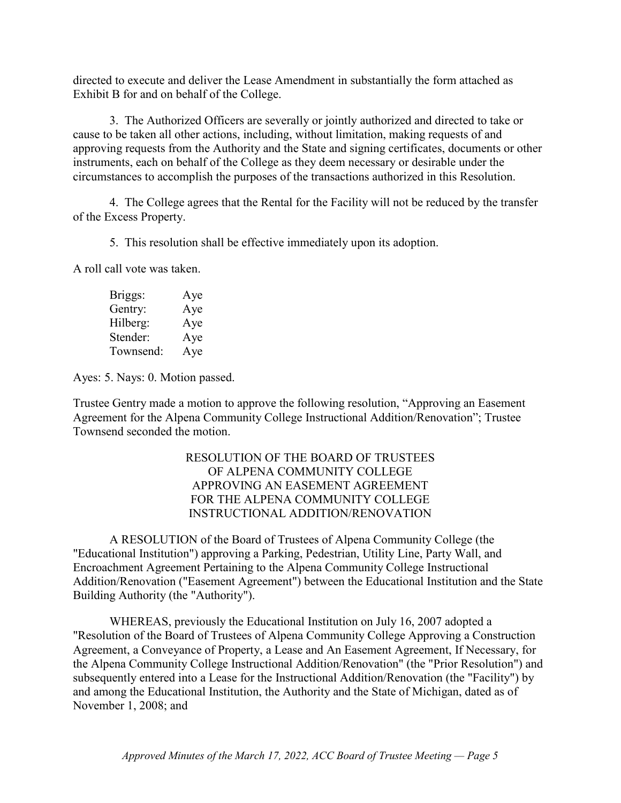directed to execute and deliver the Lease Amendment in substantially the form attached as Exhibit B for and on behalf of the College.

3. The Authorized Officers are severally or jointly authorized and directed to take or cause to be taken all other actions, including, without limitation, making requests of and approving requests from the Authority and the State and signing certificates, documents or other instruments, each on behalf of the College as they deem necessary or desirable under the circumstances to accomplish the purposes of the transactions authorized in this Resolution.

4. The College agrees that the Rental for the Facility will not be reduced by the transfer of the Excess Property.

5. This resolution shall be effective immediately upon its adoption.

A roll call vote was taken.

| Briggs:   | Aye |
|-----------|-----|
| Gentry:   | Aye |
| Hilberg:  | Aye |
| Stender:  | Aye |
| Townsend: | Aye |

Ayes: 5. Nays: 0. Motion passed.

Trustee Gentry made a motion to approve the following resolution, "Approving an Easement Agreement for the Alpena Community College Instructional Addition/Renovation"; Trustee Townsend seconded the motion.

## RESOLUTION OF THE BOARD OF TRUSTEES OF ALPENA COMMUNITY COLLEGE APPROVING AN EASEMENT AGREEMENT FOR THE ALPENA COMMUNITY COLLEGE INSTRUCTIONAL ADDITION/RENOVATION

A RESOLUTION of the Board of Trustees of Alpena Community College (the "Educational Institution") approving a Parking, Pedestrian, Utility Line, Party Wall, and Encroachment Agreement Pertaining to the Alpena Community College Instructional Addition/Renovation ("Easement Agreement") between the Educational Institution and the State Building Authority (the "Authority").

WHEREAS, previously the Educational Institution on July 16, 2007 adopted a "Resolution of the Board of Trustees of Alpena Community College Approving a Construction Agreement, a Conveyance of Property, a Lease and An Easement Agreement, If Necessary, for the Alpena Community College Instructional Addition/Renovation" (the "Prior Resolution") and subsequently entered into a Lease for the Instructional Addition/Renovation (the "Facility") by and among the Educational Institution, the Authority and the State of Michigan, dated as of November 1, 2008; and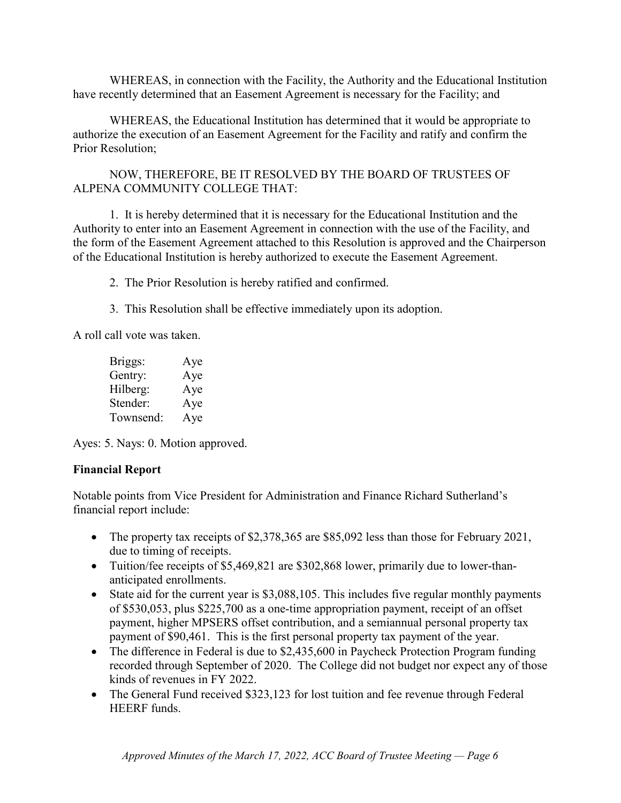WHEREAS, in connection with the Facility, the Authority and the Educational Institution have recently determined that an Easement Agreement is necessary for the Facility; and

WHEREAS, the Educational Institution has determined that it would be appropriate to authorize the execution of an Easement Agreement for the Facility and ratify and confirm the Prior Resolution;

NOW, THEREFORE, BE IT RESOLVED BY THE BOARD OF TRUSTEES OF ALPENA COMMUNITY COLLEGE THAT:

1. It is hereby determined that it is necessary for the Educational Institution and the Authority to enter into an Easement Agreement in connection with the use of the Facility, and the form of the Easement Agreement attached to this Resolution is approved and the Chairperson of the Educational Institution is hereby authorized to execute the Easement Agreement.

2. The Prior Resolution is hereby ratified and confirmed.

3. This Resolution shall be effective immediately upon its adoption.

A roll call vote was taken.

| Briggs:   | Aye |
|-----------|-----|
| Gentry:   | Aye |
| Hilberg:  | Aye |
| Stender:  | Aye |
| Townsend: | Aye |

Ayes: 5. Nays: 0. Motion approved.

# **Financial Report**

Notable points from Vice President for Administration and Finance Richard Sutherland's financial report include:

- The property tax receipts of \$2,378,365 are \$85,092 less than those for February 2021, due to timing of receipts.
- Tuition/fee receipts of \$5,469,821 are \$302,868 lower, primarily due to lower-thananticipated enrollments.
- State aid for the current year is \$3,088,105. This includes five regular monthly payments of \$530,053, plus \$225,700 as a one-time appropriation payment, receipt of an offset payment, higher MPSERS offset contribution, and a semiannual personal property tax payment of \$90,461. This is the first personal property tax payment of the year.
- The difference in Federal is due to \$2,435,600 in Paycheck Protection Program funding recorded through September of 2020. The College did not budget nor expect any of those kinds of revenues in FY 2022.
- The General Fund received \$323,123 for lost tuition and fee revenue through Federal HEERF funds.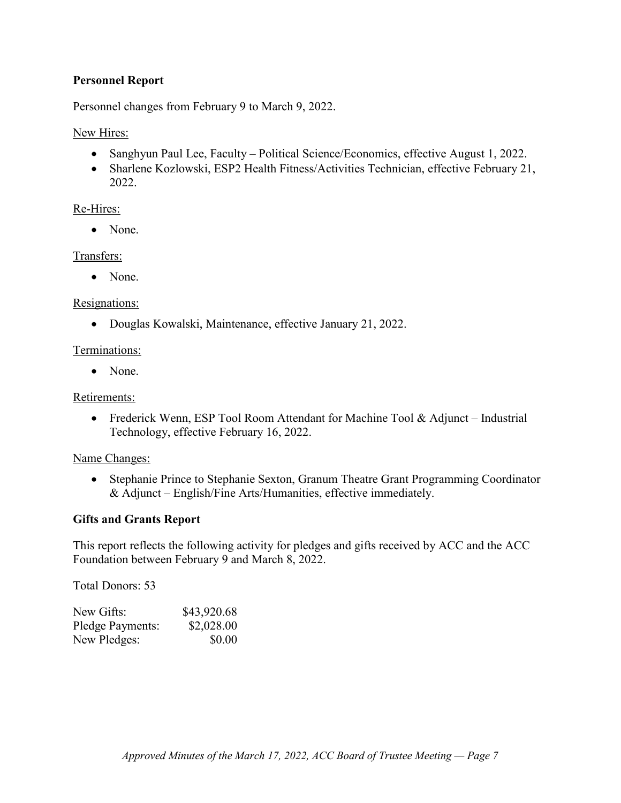# **Personnel Report**

Personnel changes from February 9 to March 9, 2022.

# New Hires:

- Sanghyun Paul Lee, Faculty Political Science/Economics, effective August 1, 2022.
- Sharlene Kozlowski, ESP2 Health Fitness/Activities Technician, effective February 21, 2022.

# Re-Hires:

• None.

# Transfers:

• None.

# Resignations:

• Douglas Kowalski, Maintenance, effective January 21, 2022.

# Terminations:

• None.

# Retirements:

• Frederick Wenn, ESP Tool Room Attendant for Machine Tool & Adjunct – Industrial Technology, effective February 16, 2022.

# Name Changes:

• Stephanie Prince to Stephanie Sexton, Granum Theatre Grant Programming Coordinator & Adjunct – English/Fine Arts/Humanities, effective immediately.

# **Gifts and Grants Report**

This report reflects the following activity for pledges and gifts received by ACC and the ACC Foundation between February 9 and March 8, 2022.

Total Donors: 53

| New Gifts:       | \$43,920.68 |
|------------------|-------------|
| Pledge Payments: | \$2,028.00  |
| New Pledges:     | \$0.00      |